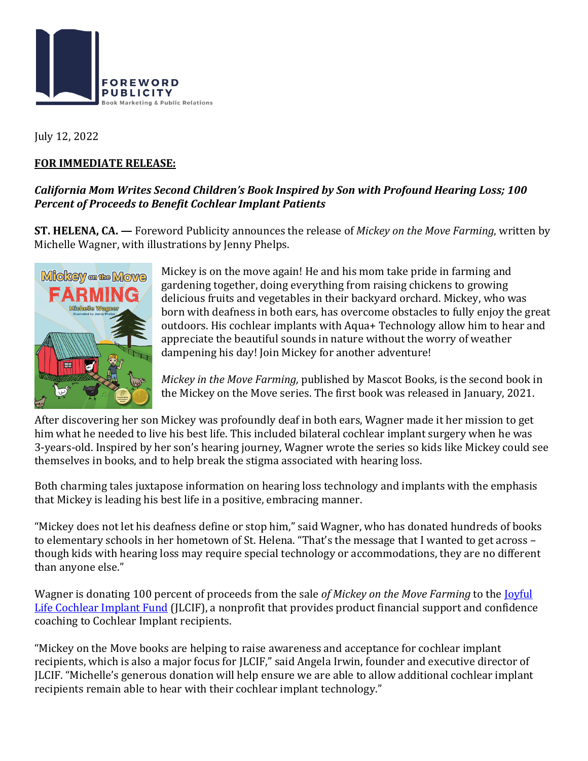

July 12, 2022

## **FOR IMMEDIATE RELEASE:**

## California Mom Writes Second Children's Book Inspired by Son with Profound Hearing Loss; 100 **Percent of Proceeds to Benefit Cochlear Implant Patients**

**ST. HELENA, CA.** — Foreword Publicity announces the release of *Mickey* on the Move Farming, written by Michelle Wagner, with illustrations by Jenny Phelps.



Mickey is on the move again! He and his mom take pride in farming and gardening together, doing everything from raising chickens to growing delicious fruits and vegetables in their backyard orchard. Mickey, who was born with deafness in both ears, has overcome obstacles to fully enjoy the great outdoors. His cochlear implants with Aqua+ Technology allow him to hear and appreciate the beautiful sounds in nature without the worry of weather dampening his day! Join Mickey for another adventure!

*Mickey in the Move Farming,* published by Mascot Books, is the second book in the Mickey on the Move series. The first book was released in January, 2021.

After discovering her son Mickey was profoundly deaf in both ears, Wagner made it her mission to get him what he needed to live his best life. This included bilateral cochlear implant surgery when he was 3-years-old. Inspired by her son's hearing journey, Wagner wrote the series so kids like Mickey could see themselves in books, and to help break the stigma associated with hearing loss.

Both charming tales juxtapose information on hearing loss technology and implants with the emphasis that Mickey is leading his best life in a positive, embracing manner.

"Mickey does not let his deafness define or stop him," said Wagner, who has donated hundreds of books to elementary schools in her hometown of St. Helena. "That's the message that I wanted to get across – though kids with hearing loss may require special technology or accommodations, they are no different than anyone else."

Wagner is donating 100 percent of proceeds from the sale of Mickey on the Move Farming to the **Joyful** Life Cochlear Implant Fund (JLCIF), a nonprofit that provides product financial support and confidence coaching to Cochlear Implant recipients.

"Mickey on the Move books are helping to raise awareness and acceptance for cochlear implant recipients, which is also a major focus for JLCIF," said Angela Irwin, founder and executive director of JLCIF. "Michelle's generous donation will help ensure we are able to allow additional cochlear implant recipients remain able to hear with their cochlear implant technology."